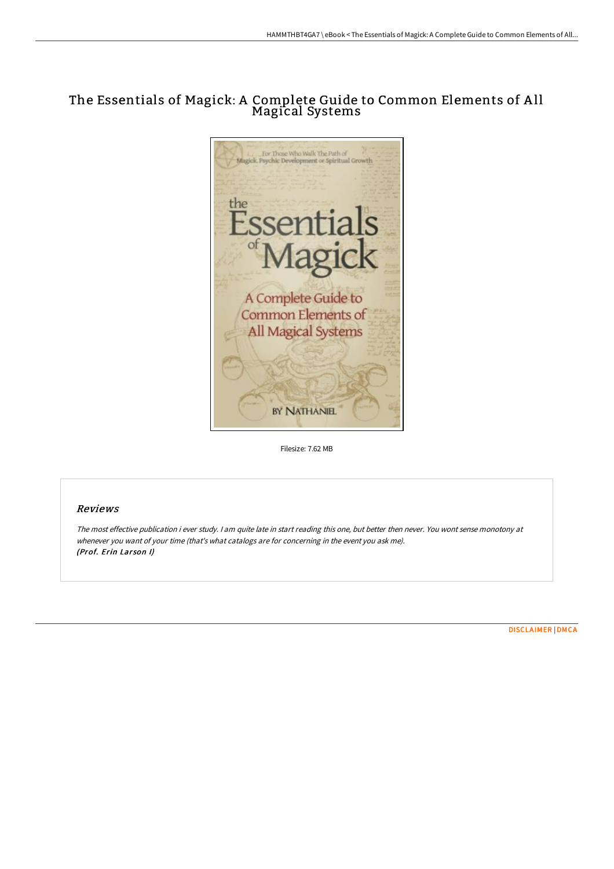# The Essentials of Magick: A Complete Guide to Common Elements of A ll Magical Systems



Filesize: 7.62 MB

## Reviews

The most effective publication i ever study. <sup>I</sup> am quite late in start reading this one, but better then never. You wont sense monotony at whenever you want of your time (that's what catalogs are for concerning in the event you ask me). (Prof. Erin Larson I)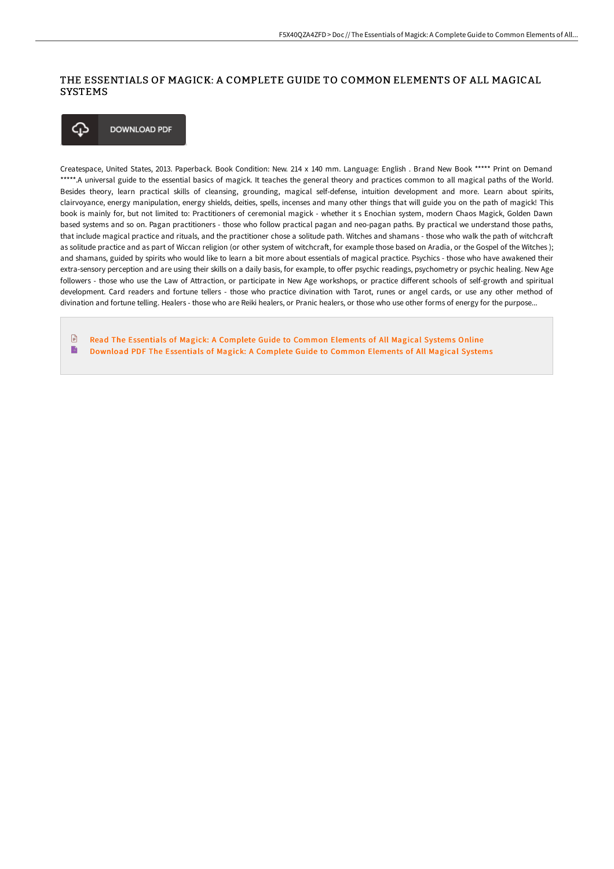# THE ESSENTIALS OF MAGICK: A COMPLETE GUIDE TO COMMON ELEMENTS OF ALL MAGICAL SYSTEMS



Createspace, United States, 2013. Paperback. Book Condition: New. 214 x 140 mm. Language: English . Brand New Book \*\*\*\*\* Print on Demand \*\*\*\*\*.A universal guide to the essential basics of magick. It teaches the general theory and practices common to all magical paths of the World. Besides theory, learn practical skills of cleansing, grounding, magical self-defense, intuition development and more. Learn about spirits, clairvoyance, energy manipulation, energy shields, deities, spells, incenses and many other things that will guide you on the path of magick! This book is mainly for, but not limited to: Practitioners of ceremonial magick - whether it s Enochian system, modern Chaos Magick, Golden Dawn based systems and so on. Pagan practitioners - those who follow practical pagan and neo-pagan paths. By practical we understand those paths, that include magical practice and rituals, and the practitioner chose a solitude path. Witches and shamans - those who walk the path of witchcraft as solitude practice and as part of Wiccan religion (or other system of witchcraft, for example those based on Aradia, or the Gospel of the Witches); and shamans, guided by spirits who would like to learn a bit more about essentials of magical practice. Psychics - those who have awakened their extra-sensory perception and are using their skills on a daily basis, for example, to offer psychic readings, psychometry or psychic healing. New Age followers - those who use the Law of Attraction, or participate in New Age workshops, or practice different schools of self-growth and spiritual development. Card readers and fortune tellers - those who practice divination with Tarot, runes or angel cards, or use any other method of divination and fortune telling. Healers - those who are Reiki healers, or Pranic healers, or those who use other forms of energy for the purpose...

 $\mathbb{R}$ Read The [Essentials](http://albedo.media/the-essentials-of-magick-a-complete-guide-to-com.html) of Magick: A Complete Guide to Common Elements of All Magical Systems Online B [Download](http://albedo.media/the-essentials-of-magick-a-complete-guide-to-com.html) PDF The Essentials of Magick: A Complete Guide to Common Elements of All Magical Systems